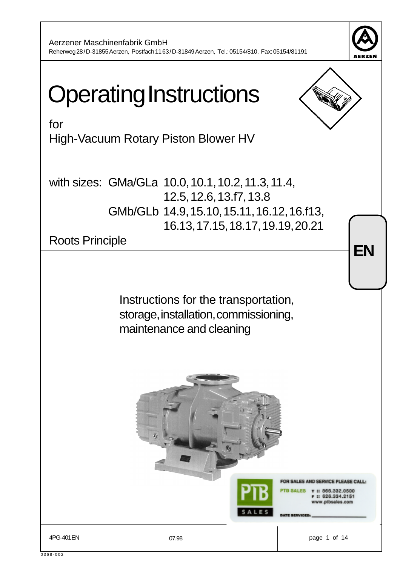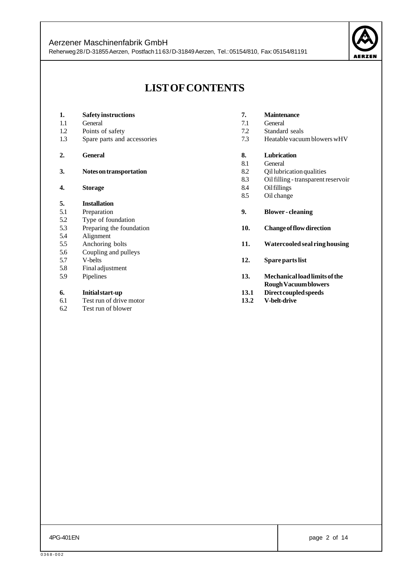

# **LIST OF CONTENTS**

| 1.  | <b>Safety instructions</b>                  |
|-----|---------------------------------------------|
| 1.1 | General                                     |
| 1.2 | Points of safety                            |
| 1.3 | Spare parts and accessories                 |
| 2.  | <b>General</b>                              |
| 3.  | Notes on transportation                     |
| 4.  | <b>Storage</b>                              |
| 5.  | <b>Installation</b>                         |
| 5.1 | Preparation                                 |
|     |                                             |
| 5.2 | Type of foundation                          |
| 5.3 | Preparing the foundation                    |
| 5.4 | Alignment                                   |
| 5.5 | Anchoring bolts                             |
| 5.6 | Coupling and pulleys                        |
| 5.7 | V-belts                                     |
| 5.8 | Final adjustment                            |
| 5.9 | Pipelines                                   |
| 6.  | Initial start-up<br>Test run of drive motor |

6.2 Test run of blower

| 7.  | <b>Maintenance</b>                  |
|-----|-------------------------------------|
| 7.1 | General                             |
| 7.2 | Standard seals                      |
| 73  | Heatable vacuum blowers wHV         |
|     |                                     |
| 8.  | <b>Lubrication</b>                  |
| 8.1 | General                             |
| 8.2 | Qil lubrication qualities           |
| 83  | Oil filling - transparent reservoir |
| 8.4 | Oil fillings                        |
| 8.5 | Oil change                          |
| 9.  | <b>Blower-cleaning</b>              |
|     |                                     |
| 10. | <b>Change of flow direction</b>     |
| 11. | Watercooled seal ring housing       |
|     |                                     |

- **12. Spare parts list**
- **13. Mechanical load limits of the Rough Vacuum blowers**
- **13.1 Direct coupled speeds**
- **13.2 V-belt-drive**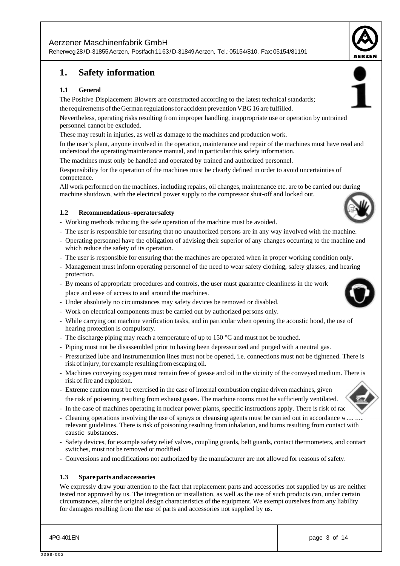Reherweg 28 / D-31855 Aerzen, Postfach 11 63 / D-31849 Aerzen, Tel.: 05154/810, Fax: 05154/81191

# **1. Safety information**

#### **1.1 General**

The Positive Displacement Blowers are constructed according to the latest technical standards;

the requirements of the German regulations for accident prevention VBG 16 are fulfilled.

Nevertheless, operating risks resulting from improper handling, inappropriate use or operation by untrained personnel cannot be excluded.

These may result in injuries, as well as damage to the machines and production work.

In the user's plant, anyone involved in the operation, maintenance and repair of the machines must have read and understood the operating/maintenance manual, and in particular this safety information.

The machines must only be handled and operated by trained and authorized personnel.

Responsibility for the operation of the machines must be clearly defined in order to avoid uncertainties of competence.

All work performed on the machines, including repairs, oil changes, maintenance etc. are to be carried out during machine shutdown, with the electrical power supply to the compressor shut-off and locked out.

#### **1.2 Recommendations - operator safety**

- Working methods reducing the safe operation of the machine must be avoided.
- The user is responsible for ensuring that no unauthorized persons are in any way involved with the machine.
- Operating personnel have the obligation of advising their superior of any changes occurring to the machine and which reduce the safety of its operation.
- The user is responsible for ensuring that the machines are operated when in proper working condition only.
- Management must inform operating personnel of the need to wear safety clothing, safety glasses, and hearing protection.
- By means of appropriate procedures and controls, the user must guarantee cleanliness in the work place and ease of access to and around the machines.
- Under absolutely no circumstances may safety devices be removed or disabled.
- Work on electrical components must be carried out by authorized persons only.
- While carrying out machine verification tasks, and in particular when opening the acoustic hood, the use of hearing protection is compulsory.
- The discharge piping may reach a temperature of up to  $150^{\circ}$ C and must not be touched.
- Piping must not be disassembled prior to having been depressurized and purged with a neutral gas.
- Pressurized lube and instrumentation lines must not be opened, i.e. connections must not be tightened. There is risk of injury, for example resulting from escaping oil.
- Machines conveying oxygen must remain free of grease and oil in the vicinity of the conveyed medium. There is risk of fire and explosion.
- Extreme caution must be exercised in the case of internal combustion engine driven machines, given the risk of poisening resulting from exhaust gases. The machine rooms must be sufficiently ventilated.
- In the case of machines operating in nuclear power plants, specific instructions apply. There is risk of radiation.
- Cleaning operations involving the use of sprays or cleansing agents must be carried out in accordance w. relevant guidelines. There is risk of poisoning resulting from inhalation, and burns resulting from contact with caustic substances.
- Safety devices, for example safety relief valves, coupling guards, belt guards, contact thermometers, and contact switches, must not be removed or modified.
- Conversions and modifications not authorized by the manufacturer are not allowed for reasons of safety.

#### **1.3 Spare parts and accessories**

We expressly draw your attention to the fact that replacement parts and accessories not supplied by us are neither tested nor approved by us. The integration or installation, as well as the use of such products can, under certain circumstances, alter the original design characteristics of the equipment. We exempt ourselves from any liability for damages resulting from the use of parts and accessories not supplied by us.









0368-002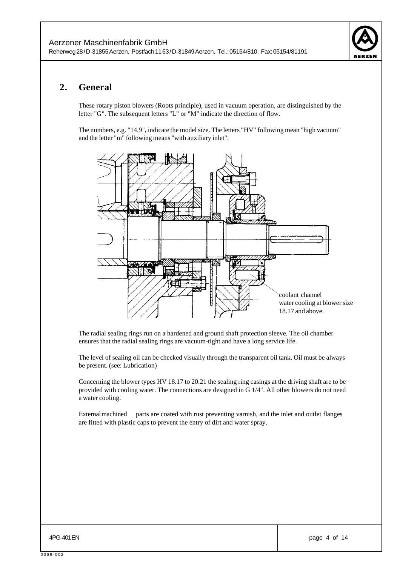

# **2. General**

These rotary piston blowers (Roots principle), used in vacuum operation, are distinguished by the letter "G". The subsequent letters "L" or "M" indicate the direction of flow.

The numbers, e.g. "14.9", indicate the model size. The letters "HV" following mean "high vacuum" and the letter "m" following means "with auxiliary inlet".



The radial sealing rings run on a hardened and ground shaft protection sleeve. The oil chamber ensures that the radial sealing rings are vacuum-tight and have a long service life.

The level of sealing oil can be checked visually through the transparent oil tank. Oil must be always be present. (see: Lubrication)

Concerning the blower types HV 18.17 to 20.21 the sealing ring casings at the driving shaft are to be provided with cooling water. The connections are designed in G 1/4". All other blowers do not need a water cooling.

External machined parts are coated with rust preventing varnish, and the inlet and outlet flanges are fitted with plastic caps to prevent the entry of dirt and water spray.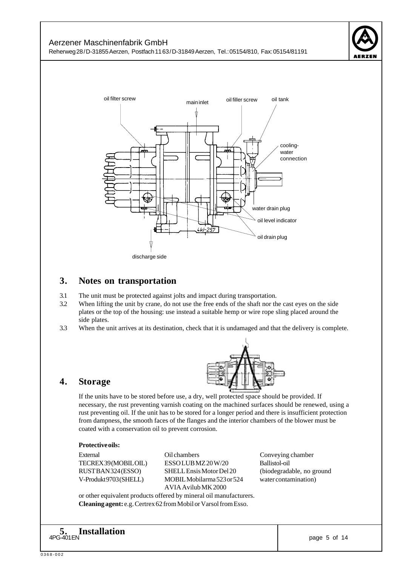



#### **3. Notes on transportation**

- 3.1 The unit must be protected against jolts and impact during transportation.
- 3.2 When lifting the unit by crane, do not use the free ends of the shaft nor the cast eyes on the side plates or the top of the housing: use instead a suitable hemp or wire rope sling placed around the side plates.
- 3.3 When the unit arrives at its destination, check that it is undamaged and that the delivery is complete.



## **4. Storage**

If the units have to be stored before use, a dry, well protected space should be provided. If necessary, the rust preventing varnish coating on the machined surfaces should be renewed, using a rust preventing oil. If the unit has to be stored for a longer period and there is insufficient protection from dampness, the smooth faces of the flanges and the interior chambers of the blower must be coated with a conservation oil to prevent corrosion.

#### **Protective oils:**

External Conveying chambers Conveying chamber

TECREX 39 (MOBIL OIL) ESSO LUB MZ 20 W/20 Ballistol-oil RUST BAN 324 (ESSO) SHELL Ensis Motor Del 20 (biodegradable, no ground V-Produkt 9703 (SHELL) MOBIL Mobilarma 523 or 524 water contamination) AVIA Avilub MK 2000

or other equivalent products offered by mineral oil manufacturers. **Cleaning agent:** e.g. Certrex 62 from Mobil or Varsol from Esso.

4PG-401 EN PRODUCTION AND THE PAGE OF THE PAGE OF THE PAGE OF THE PAGE OF THE PAGE OF THE PAGE OF THE PAGE OF THE PAGE OF THE PAGE OF THE PAGE OF THE PAGE OF THE PAGE OF THE PAGE OF THE PAGE OF THE PAGE OF THE PAGE OF THE **5. Installation**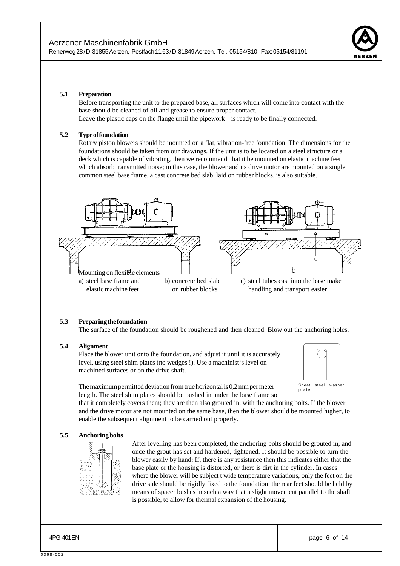

#### **5.1 Preparation**

Before transporting the unit to the prepared base, all surfaces which will come into contact with the base should be cleaned of oil and grease to ensure proper contact. Leave the plastic caps on the flange until the pipework is ready to be finally connected.

#### **5.2 Type of foundation**

Rotary piston blowers should be mounted on a flat, vibration-free foundation. The dimensions for the foundations should be taken from our drawings. If the unit is to be located on a steel structure or a deck which is capable of vibrating, then we recommend that it be mounted on elastic machine feet which absorb transmitted noise; in this case, the blower and its drive motor are mounted on a single common steel base frame, a cast concrete bed slab, laid on rubber blocks, is also suitable.



#### **5.3 Preparing the foundation**

The surface of the foundation should be roughened and then cleaned. Blow out the anchoring holes.

#### **5.4 Alignment**

Place the blower unit onto the foundation, and adjust it until it is accurately level, using steel shim plates (no wedges !). Use a machinist's level on machined surfaces or on the drive shaft.



The maximum permitted deviation from true horizontal is 0,2 mm per meter length. The steel shim plates should be pushed in under the base frame so

that it completely covers them; they are then also grouted in, with the anchoring bolts. If the blower and the drive motor are not mounted on the same base, then the blower should be mounted higher, to enable the subsequent alignment to be carried out properly.

#### **5.5 Anchoring bolts**



After levelling has been completed, the anchoring bolts should be grouted in, and once the grout has set and hardened, tightened. It should be possible to turn the blower easily by hand: If, there is any resistance then this indicates either that the base plate or the housing is distorted, or there is dirt in the cylinder. In cases where the blower will be subject t wide temperature variations, only the feet on the drive side should be rigidly fixed to the foundation: the rear feet should be held by means of spacer bushes in such a way that a slight movement parallel to the shaft is possible, to allow for thermal expansion of the housing.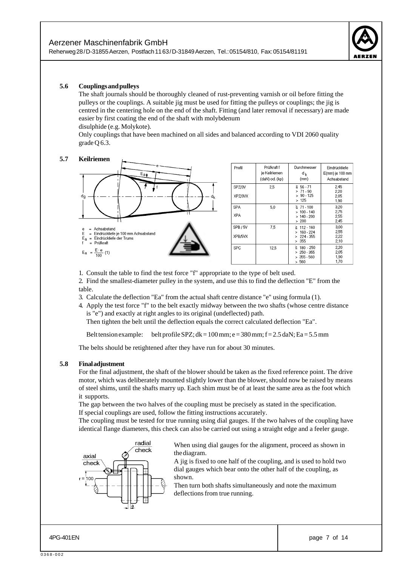

Eindrücktiefe

E(mm) je 100 mm

Achsabstand

 $2,45$ 

2.20

 $2,05$ 

 $1.90$  $\frac{3,20}{2,75}$ 

 $255$  $2,45$ 

3.00

 $2,55$ <br> $2,22$ 

 $2.10$ 

 $2,20$ 

 $2.05$ 

 $1.70$ 

#### **5.6 Couplings and pulleys**

The shaft journals should be thoroughly cleaned of rust-preventing varnish or oil before fitting the pulleys or the couplings. A suitable jig must be used for fitting the pulleys or couplings; the jig is centred in the centering hole on the end of the shaft. Fitting (and later removal if necessary) are made easier by first coating the end of the shaft with molybdenum disulphide (e.g. Molykote).

Only couplings that have been machined on all sides and balanced according to VDI 2060 quality grade Q 6.3.

#### **5.7 Keilriemen**



1. Consult the table to find the test force "f" appropriate to the type of belt used.

2. Find the smallest-diameter pulley in the system, and use this to find the deflection "E" from the table.

- 3. Calculate the deflection "Ea" from the actual shaft centre distance "e" using formula (1).
- 4. Apply the test force "f" to the belt exactly midway between the two shafts (whose centre distance is "e") and exactly at right angles to its original (undeflected) path.

Then tighten the belt until the deflection equals the correct calculated deflection "Ea".

Belt tension example: belt profile SPZ;  $dk = 100$  mm;  $e = 380$  mm;  $f = 2.5$  daN;  $Ea = 5.5$  mm

The belts should be retightened after they have run for about 30 minutes.

#### **5.8 Final adjustment**

For the final adjustment, the shaft of the blower should be taken as the fixed reference point. The drive motor, which was deliberately mounted slightly lower than the blower, should now be raised by means of steel shims, until the shafts marry up. Each shim must be of at least the same area as the foot which it supports.

The gap between the two halves of the coupling must be precisely as stated in the specification. If special couplings are used, follow the fitting instructions accurately.

The coupling must be tested for true running using dial gauges. If the two halves of the coupling have identical flange diameters, this check can also be carried out using a straight edge and a feeler gauge.



When using dial gauges for the alignment, proceed as shown in the diagram.

A jig is fixed to one half of the coupling, and is used to hold two dial gauges which bear onto the other half of the coupling, as shown.

Then turn both shafts simultaneously and note the maximum deflections from true running.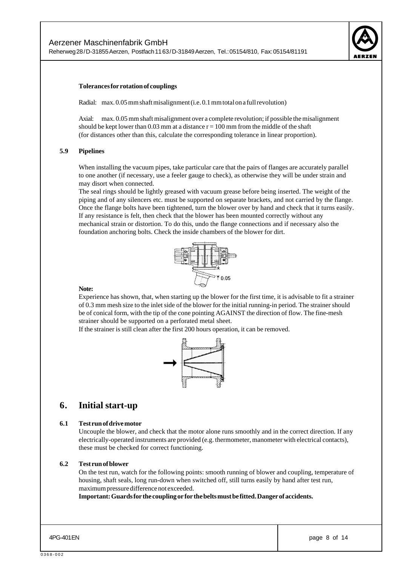

#### **Tolerances for rotation of couplings**

Radial: max. 0.05 mm shaft misalignment (i.e. 0.1 mm total on a full revolution)

Axial: max. 0.05 mm shaft misalignment over a complete revolution; if possible the misalignment should be kept lower than 0.03 mm at a distance  $r = 100$  mm from the middle of the shaft (for distances other than this, calculate the corresponding tolerance in linear proportion).

#### **5.9 Pipelines**

When installing the vacuum pipes, take particular care that the pairs of flanges are accurately parallel to one another (if necessary, use a feeler gauge to check), as otherwise they will be under strain and may disort when connected.

The seal rings should be lightly greased with vacuum grease before being inserted. The weight of the piping and of any silencers etc. must be supported on separate brackets, and not carried by the flange. Once the flange bolts have been tightened, turn the blower over by hand and check that it turns easily. If any resistance is felt, then check that the blower has been mounted correctly without any mechanical strain or distortion. To do this, undo the flange connections and if necessary also the foundation anchoring bolts. Check the inside chambers of the blower for dirt.



#### **Note:**

Experience has shown, that, when starting up the blower for the first time, it is advisable to fit a strainer of 0.3 mm mesh size to the inlet side of the blower for the initial running-in period. The strainer should be of conical form, with the tip of the cone pointing AGAINST the direction of flow. The fine-mesh strainer should be supported on a perforated metal sheet.

If the strainer is still clean after the first 200 hours operation, it can be removed.



## **6. Initial start-up**

#### **6.1 Test run of drive motor**

Uncouple the blower, and check that the motor alone runs smoothly and in the correct direction. If any electrically-operated instruments are provided (e.g. thermometer, manometer with electrical contacts), these must be checked for correct functioning.

#### **6.2 Test run of blower**

On the test run, watch for the following points: smooth running of blower and coupling, temperature of housing, shaft seals, long run-down when switched off, still turns easily by hand after test run, maximum pressure difference not exceeded.

**Important: Guards for the coupling or for the belts must be fitted. Danger of accidents.**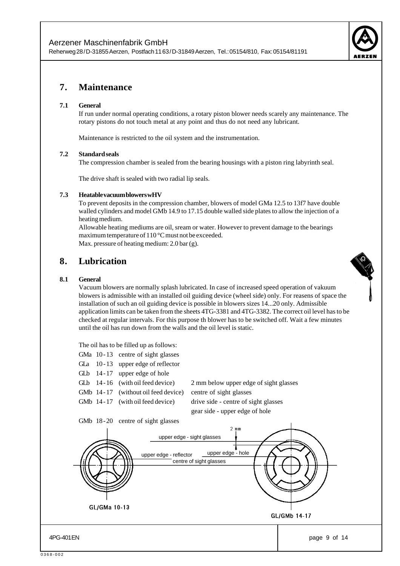

# **7. Maintenance**

#### **7.1 General**

If run under normal operating conditions, a rotary piston blower needs scarely any maintenance. The rotary pistons do not touch metal at any point and thus do not need any lubricant.

Maintenance is restricted to the oil system and the instrumentation.

#### **7.2 Standard seals**

The compression chamber is sealed from the bearing housings with a piston ring labyrinth seal.

The drive shaft is sealed with two radial lip seals.

#### **7.3 Heatable vacuum blowers wHV**

To prevent deposits in the compression chamber, blowers of model GMa 12.5 to 13f7 have double walled cylinders and model GMb 14.9 to 17.15 double walled side plates to allow the injection of a heating medium.

Allowable heating mediums are oil, sream or water. However to prevent damage to the bearings maximum temperature of 110 °C must not be exceeded. Max. pressure of heating medium: 2.0 bar (g).

## **8. Lubrication**

#### **8.1 General**

Vacuum blowers are normally splash lubricated. In case of increased speed operation of vakuum blowers is admissible with an installed oil guiding device (wheel side) only. For reasens of space the installation of such an oil guiding device is possible in blowers sizes 14...20 only. Admissible application limits can be taken from the sheets 4TG-3381 and 4TG-3382. The correct oil level has to be checked at regular intervals. For this purpose th blower has to be switched off. Wait a few minutes until the oil has run down from the walls and the oil level is static.

The oil has to be filled up as follows:

- GMa 10-13 centre of sight glasses
- GLa 10-13 upper edge of reflector
- GLb 14-17 upper edge of hole
- 

GMb 14-17 (without oil feed device) centre of sight glasses

GLb 14 - 16 (with oil feed device) 2 mm below upper edge of sight glasses GMb 14-17 (with oil feed device) drive side - centre of sight glasses gear side - upper edge of hole

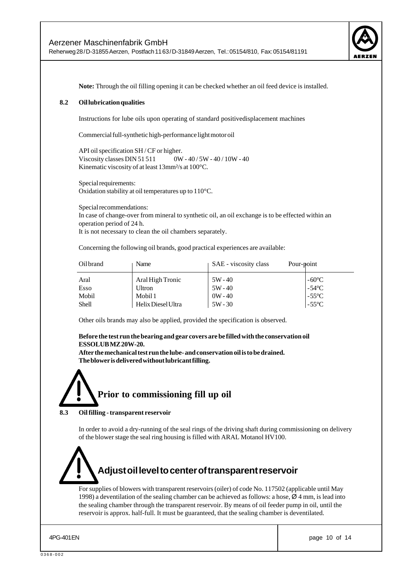

**Note:** Through the oil filling opening it can be checked whether an oil feed device is installed.

#### **8.2 Oil lubrication qualities**

Instructions for lube oils upon operating of standard positivedisplacement machines

Commercial full-synthetic high-performance light motor oil

API oil specification SH / CF or higher. Viscosity classes DIN 51 511 0W - 40 / 5W - 40 / 10W - 40 Kinematic viscosity of at least 13mm²/s at 100°C.

Special requirements: Oxidation stability at oil temperatures up to 110°C.

Special recommendations: In case of change-over from mineral to synthetic oil, an oil exchange is to be effected within an operation period of 24 h. It is not necessary to clean the oil chambers separately.

Concerning the following oil brands, good practical experiences are available:

| Oil brand    | Name               | SAE - viscosity class | Pour-point      |
|--------------|--------------------|-----------------------|-----------------|
| Aral         | Aral High Tronic   | $5W - 40$             | $-60^{\circ}$ C |
| Esso         | Ultron             | $5W - 40$             | $-54^{\circ}$ C |
| Mobil        | Mobil 1            | $0W - 40$             | $-55^{\circ}$ C |
| <b>Shell</b> | Helix Diesel Ultra | $5W - 30$             | $-55^{\circ}$ C |

Other oils brands may also be applied, provided the specification is observed.

#### **Before the test run the bearing and gear covers are be filled with the conservation oil ESSOLUB MZ 20W-20.**

**After the mechanical test run the lube- and conservation oil is to be drained. The blower is delivered without lubricant filling.**

# **Prior to commissioning fill up oil**

#### **8.3 Oil filling - transparent reservoir**

In order to avoid a dry-running of the seal rings of the driving shaft during commissioning on delivery of the blower stage the seal ring housing is filled with ARAL Motanol HV100.

# **Adjust oil level to center of transparent reservoir**

For supplies of blowers with transparent reservoirs (oiler) of code No. 117502 (applicable until May 1998) a deventilation of the sealing chamber can be achieved as follows: a hose,  $\varnothing$  4 mm, is lead into the sealing chamber through the transparent reservoir. By means of oil feeder pump in oil, until the reservoir is approx. half-full. It must be guaranteed, that the sealing chamber is deventilated.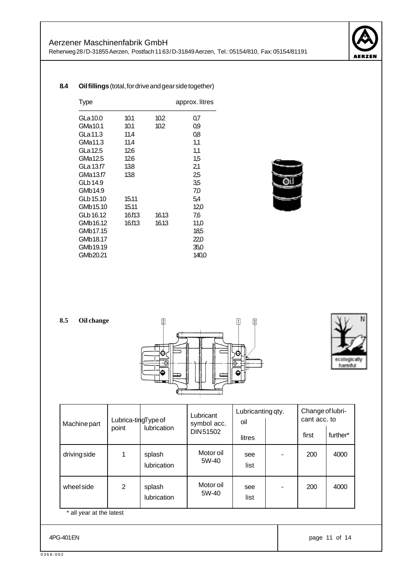

#### **8.4 Oil fillings** (total, for drive and gear side together)

| Type      |        |       | approx. litres |
|-----------|--------|-------|----------------|
| GLa 10.0  | 10.1   | 10.2  | 0,7            |
| GMa10.1   | 10.1   | 10.2  | 0,9            |
| GLa 11.3  | 11.4   |       | 0,8            |
| GMa11.3   | 11.4   |       | 1,1            |
| GLa 12.5  | 12.6   |       | 1,1            |
| GMa12.5   | 126    |       | 1,5            |
| GLa 13.f7 | 13.8   |       | 2,1            |
| GMa13.f7  | 13.8   |       | 2,5            |
| GLb 14.9  |        |       | 3,5            |
| GMb14.9   |        |       | 7,0            |
| GLb 15.10 | 15.11  |       | 5,4            |
| GMb15.10  | 15.11  |       | 12,0           |
| GLb 16.12 | 16.f13 | 16.13 | 7,6            |
| GMb16.12  | 16.f13 | 16.13 | 11,0           |
| GMb17.15  |        |       | 18,5           |
| GMb18.17  |        |       | 22,0           |
| GMb19.19  |        |       | 35,0           |
| GMb20.21  |        |       | 140,0          |



| 8.5<br>Oil change |  |
|-------------------|--|
|-------------------|--|





| Machine part                | Lubrica-tingType of |                       | Lubricant<br>symbol acc. | Lubricanting qty.<br>oil |   | Change of lubri-<br>cant acc. to |          |
|-----------------------------|---------------------|-----------------------|--------------------------|--------------------------|---|----------------------------------|----------|
|                             | point               | <b>lubrication</b>    | DIN 51502                | litres                   |   | first                            | further* |
| driving side                |                     | splash<br>lubrication | Motor oil<br>5W-40       | see<br>list              |   | 200                              | 4000     |
| wheel side                  | 2                   | splash<br>lubrication | Motor oil<br>5W-40       | see<br>list              | ۰ | 200                              | 4000     |
| $^*$ all vear at the latest |                     |                       |                          |                          |   |                                  |          |

all year at the latest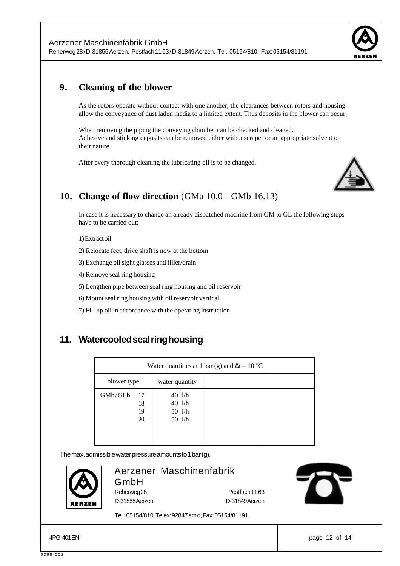

# **9. Cleaning of the blower**

As the rotors operate without contact with one another, the clearances between rotors and housing allow the conveyance of dust laden media to a limited extent. Thus deposits in the blower can occur.

When removing the piping the conveying chamber can be checked and cleaned. Adhesive and sticking deposits can be removed either with a scraper or an appropriate solvent on their nature.

After every thorough cleaning the lubricating oil is to be changed.



# **10. Change of flow direction** (GMa 10.0 - GMb 16.13)

In case it is necessary to change an already dispatched machine from GM to GL the following steps have to be carried out:

1) Extract oil

2) Relocate feet, drive shaft is now at the bottom

3) Exchange oil sight glasses and filler/drain

4) Remove seal ring housing

5) Lengthen pipe between seal ring housing and oil reservoir

6) Mount seal ring housing with oil reservoir vertical

7) Fill up oil in accordance with the operating instruction

# **11. Watercooled seal ring housing**

| Water quantities at 1 bar (g) and $\Delta t = 10^{\circ}C$ |    |                                |  |  |  |  |  |
|------------------------------------------------------------|----|--------------------------------|--|--|--|--|--|
| blower type                                                |    | water quantity                 |  |  |  |  |  |
| GMb/GLb                                                    | 17 | $40 \frac{\text{1}}{\text{h}}$ |  |  |  |  |  |
|                                                            | 18 | $40 \frac{\text{1}}{\text{h}}$ |  |  |  |  |  |
|                                                            | 19 | 50 l/h                         |  |  |  |  |  |
|                                                            | 20 | 50 l/h                         |  |  |  |  |  |
|                                                            |    |                                |  |  |  |  |  |
|                                                            |    |                                |  |  |  |  |  |

The max. admissible water pressure amounts to 1 bar (g).



# Aerzener Maschinenfabrik

Tel.: 05154/810, Telex: 92847 am d, Fax: 05154/81191

GmbH

Reherweg 28 **Postfach 11 63** D-31855 Aerzen D-31849 Aerzen



APG-401 EN page 12 of 14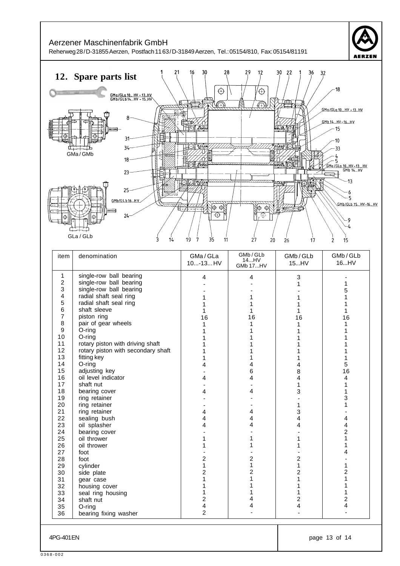